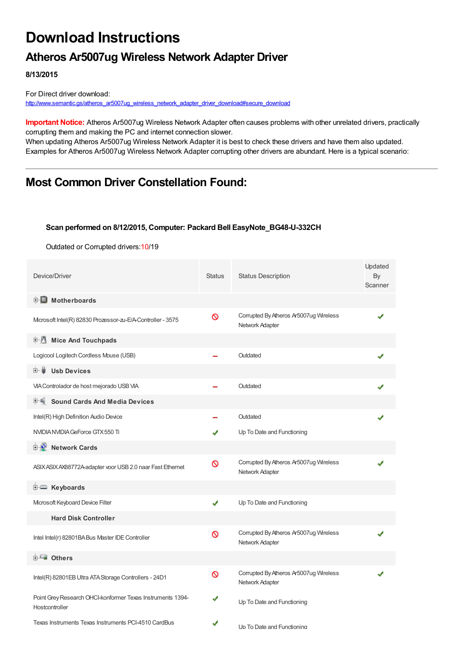# **Download Instructions**

## **Atheros Ar5007ug Wireless Network Adapter Driver**

**8/13/2015**

For Direct driver download: [http://www.semantic.gs/atheros\\_ar5007ug\\_wireless\\_network\\_adapter\\_driver\\_download#secure\\_download](http://www.semantic.gs/atheros_ar5007ug_wireless_network_adapter_driver_download#secure_download)

**Important Notice:** Atheros Ar5007ug Wireless Network Adapter often causes problems with other unrelated drivers, practically corrupting them and making the PC and internet connection slower.

When updating Atheros Ar5007ug Wireless Network Adapter it is best to check these drivers and have them also updated. Examples for Atheros Ar5007ug Wireless Network Adapter corrupting other drivers are abundant. Here is a typical scenario:

### **Most Common Driver Constellation Found:**

#### **Scan performed on 8/12/2015, Computer: Packard Bell EasyNote\_BG48-U-332CH**

Outdated or Corrupted drivers:10/19

| Device/Driver                                                                | <b>Status</b> | <b>Status Description</b>                                 | Updated<br>By<br>Scanner |
|------------------------------------------------------------------------------|---------------|-----------------------------------------------------------|--------------------------|
| <b>E</b> Motherboards                                                        |               |                                                           |                          |
| Microsoft Intel(R) 82830 Prozessor-zu-E/A-Controller - 3575                  | Ø             | Corrupted By Atheros Ar5007ug Wireless<br>Network Adapter |                          |
| <b>E</b> Mice And Touchpads                                                  |               |                                                           |                          |
| Logicool Logitech Cordless Mouse (USB)                                       |               | Outdated                                                  |                          |
| 田一島<br><b>Usb Devices</b>                                                    |               |                                                           |                          |
| VIA Controlador de host mejorado USB VIA                                     |               | Outdated                                                  |                          |
| <b>Sound Cards And Media Devices</b>                                         |               |                                                           |                          |
| Intel(R) High Definition Audio Device                                        |               | Outdated                                                  |                          |
| NVIDIA NVIDIA GeForce GTX 550 Ti                                             | ✔             | Up To Date and Functioning                                |                          |
| <b>E-D</b> Network Cards                                                     |               |                                                           |                          |
| ASIX ASIX AX88772A-adapter voor USB 2.0 naar Fast Ethernet                   | $\infty$      | Corrupted By Atheros Ar5007ug Wireless<br>Network Adapter |                          |
| <b>E</b> Keyboards                                                           |               |                                                           |                          |
| Microsoft Keyboard Device Filter                                             | ✔             | Up To Date and Functioning                                |                          |
| <b>Hard Disk Controller</b>                                                  |               |                                                           |                          |
| Intel Intel(r) 82801BABus Master IDE Controller                              | Ø             | Corrupted By Atheros Ar5007ug Wireless<br>Network Adapter |                          |
| 白一■ Others                                                                   |               |                                                           |                          |
| Intel(R) 82801EB Ultra ATA Storage Controllers - 24D1                        | $\infty$      | Corrupted By Atheros Ar5007ug Wireless<br>Network Adapter |                          |
| Point Grey Research OHCI-konformer Texas Instruments 1394-<br>Hostcontroller | ✔             | Up To Date and Functioning                                |                          |
| Texas Instruments Texas Instruments PCI-4510 CardBus                         | ✔             | Up To Date and Functioning                                |                          |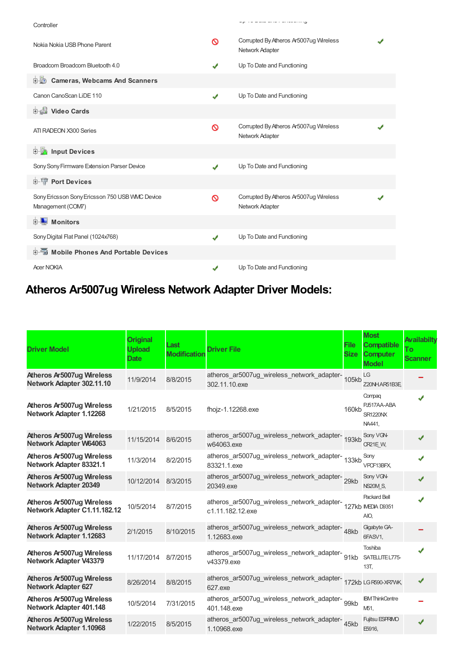| Controller                                                          |   | <u>is east and constructing</u>                           |  |
|---------------------------------------------------------------------|---|-----------------------------------------------------------|--|
| Nokia Nokia USB Phone Parent                                        | 0 | Corrupted By Atheros Ar5007ug Wireless<br>Network Adapter |  |
| Broadcom Broadcom Bluetooth 4.0                                     |   | Up To Date and Functioning                                |  |
| <b>D</b> Cameras, Webcams And Scanners                              |   |                                                           |  |
| Canon CanoScan LiDE 110                                             | ✔ | Up To Date and Functioning                                |  |
| 中書 Video Cards                                                      |   |                                                           |  |
| ATI RADEON X300 Series                                              | Ø | Corrupted By Atheros Ar5007ug Wireless<br>Network Adapter |  |
| <b>Devices</b> Input Devices                                        |   |                                                           |  |
| Sony Sony Firmware Extension Parser Device                          | ✔ | Up To Date and Functioning                                |  |
| <b>E-T</b> Port Devices                                             |   |                                                           |  |
| Sony Ericsson Sony Ericsson 750 USB WMC Device<br>Management (COM7) | Ø | Corrupted By Atheros Ar5007ug Wireless<br>Network Adapter |  |
| <b>E</b> Monitors                                                   |   |                                                           |  |
| Sony Digital Flat Panel (1024x768)                                  | J | Up To Date and Functioning                                |  |
| 中国 Mobile Phones And Portable Devices                               |   |                                                           |  |
| <b>Acer NOKIA</b>                                                   |   | Up To Date and Functioning                                |  |

Up To Date and Functioning

# **Atheros Ar5007ug Wireless Network Adapter Driver Models:**

| <b>Driver Model</b>                                               | <b>Original</b><br><b>Upload</b><br><b>Date</b> | Last<br><b>Modification</b> | <b>Driver File</b>                                                                   | <b>File</b><br><b>Size</b> | <b>Most</b><br><b>Compatible</b><br><b>Computer</b><br><b>Model</b> | Availabilty<br>To<br><b>Scanner</b> |
|-------------------------------------------------------------------|-------------------------------------------------|-----------------------------|--------------------------------------------------------------------------------------|----------------------------|---------------------------------------------------------------------|-------------------------------------|
| <b>Atheros Ar5007ug Wireless</b><br>Network Adapter 302.11.10     | 11/9/2014                                       | 8/8/2015                    | atheros_ar5007ug_wireless_network_adapter-<br>105kb<br>302.11.10.exe                 |                            | LG<br>Z20NHAR51B3E,                                                 |                                     |
| Atheros Ar5007ug Wireless<br>Network Adapter 1.12268              | 1/21/2015                                       | 8/5/2015                    | fhojz-1.12268.exe                                                                    | <b>160kb</b>               | Compaq<br>PJ517AA-ABA<br><b>SR1220NX</b><br>NA441,                  |                                     |
| <b>Atheros Ar5007ug Wireless</b><br><b>Network Adapter W64063</b> | 11/15/2014                                      | 8/6/2015                    | atheros_ar5007ug_wireless_network_adapter-<br>193kb<br>w64063.exe                    |                            | Sony VGN-<br>CR21E W,                                               | J                                   |
| Atheros Ar5007ug Wireless<br>Network Adapter 83321.1              | 11/3/2014                                       | 8/2/2015                    | atheros_ar5007ug_wireless_network_adapter-<br>133kb<br>83321.1.exe                   |                            | Sony<br>VPCF13BFX,                                                  |                                     |
| <b>Atheros Ar5007ug Wireless</b><br><b>Network Adapter 20349</b>  | 10/12/2014                                      | 8/3/2015                    | atheros_ar5007ug_wireless_network_adapter-29kb<br>20349.exe                          |                            | Sony VGN-<br>NS20M S,                                               |                                     |
| <b>Atheros Ar5007ug Wireless</b><br>Network Adapter C1.11.182.12  | 10/5/2014                                       | 8/7/2015                    | atheros_ar5007ug_wireless_network_adapter-<br>127kb IVEDIA D9351<br>c1.11.182.12.exe |                            | <b>Packard Bell</b><br>AIO,                                         |                                     |
| <b>Atheros Ar5007ug Wireless</b><br>Network Adapter 1.12683       | 2/1/2015                                        | 8/10/2015                   | atheros_ar5007ug_wireless_network_adapter-48kb<br>1.12683.exe                        |                            | Gigabyte GA-<br>6FASV1,                                             |                                     |
| Atheros Ar5007ug Wireless<br><b>Network Adapter V43379</b>        | 11/17/2014                                      | 8/7/2015                    | atheros_ar5007ug_wireless_network_adapter-<br>91kb<br>v43379.exe                     |                            | Toshiba<br>SATELLITE L775-<br>13T,                                  |                                     |
| Atheros Ar5007ug Wireless<br><b>Network Adapter 627</b>           | 8/26/2014                                       | 8/8/2015                    | atheros_ar5007ug_wireless_network_adapter-<br>172kb LGR590-XR7WK,<br>627.exe         |                            |                                                                     |                                     |
| Atheros Ar5007ug Wireless<br>Network Adapter 401.148              | 10/5/2014                                       | 7/31/2015                   | atheros_ar5007ug_wireless_network_adapter- 99kb<br>401.148.exe                       |                            | <b>IBM</b> ThinkCentre<br>M51.                                      |                                     |
| <b>Atheros Ar5007ug Wireless</b><br>Network Adapter 1.10968       | 1/22/2015                                       | 8/5/2015                    | atheros_ar5007ug_wireless_network_adapter-45kb<br>1.10968.exe                        |                            | Fujitsu ESPRIMO<br>E5916,                                           |                                     |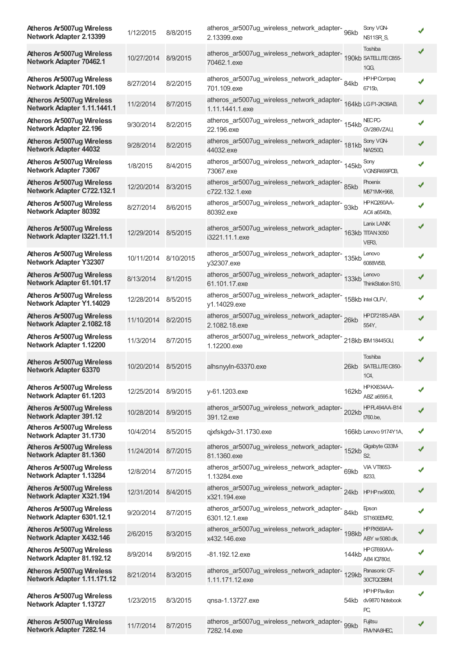| <b>Atheros Ar5007ug Wireless</b><br>Network Adapter 2.13399       | 1/12/2015  | 8/8/2015  | atheros_ar5007ug_wireless_network_adapter- 96kb<br>2.13399.exe                   |       | Sony VGN-<br>NS11SR S,                        |   |
|-------------------------------------------------------------------|------------|-----------|----------------------------------------------------------------------------------|-------|-----------------------------------------------|---|
| Atheros Ar5007ug Wireless<br>Network Adapter 70462.1              | 10/27/2014 | 8/9/2015  | atheros_ar5007ug_wireless_network_adapter-<br>190kb SATELITEC855-<br>70462.1.exe |       | Toshiba<br>1QG,                               |   |
| Atheros Ar5007ug Wireless<br>Network Adapter 701.109              | 8/27/2014  | 8/2/2015  | atheros_ar5007ug_wireless_network_adapter-84kb<br>701.109.exe                    |       | <b>HPHPCompaq</b><br>6715b,                   | ✔ |
| <b>Atheros Ar5007ug Wireless</b><br>Network Adapter 1.11.1441.1   | 11/2/2014  | 8/7/2015  | atheros_ar5007ug_wireless_network_adapter-164kb LGF1-2K39AB,<br>1.11.1441.1.exe  |       |                                               |   |
| Atheros Ar5007ug Wireless<br>Network Adapter 22.196               | 9/30/2014  | 8/2/2015  | atheros_ar5007ug_wireless_network_adapter-<br>154kb<br>22.196.exe                |       | NEC <sub>PC</sub><br>GV286VZAU,               |   |
| Atheros Ar5007ug Wireless<br><b>Network Adapter 44032</b>         | 9/28/2014  | 8/2/2015  | atheros_ar5007ug_wireless_network_adapter-<br>181kb<br>44032.exe                 |       | Sony VGN-<br><b>NW250D,</b>                   |   |
| Atheros Ar5007ug Wireless<br>Network Adapter 73067                | 1/8/2015   | 8/4/2015  | atheros_ar5007ug_wireless_network_adapter-<br>145kb<br>73067.exe                 |       | Sony<br>VGNSR499PCB,                          |   |
| Atheros Ar5007ug Wireless<br>Network Adapter C722.132.1           | 12/20/2014 | 8/3/2015  | atheros_ar5007ug_wireless_network_adapter-85kb<br>c722.132.1.exe                 |       | <b>Phoenix</b><br>M671MX+968,                 | ✔ |
| Atheros Ar5007ug Wireless<br><b>Network Adapter 80392</b>         | 8/27/2014  | 8/6/2015  | atheros_ar5007ug_wireless_network_adapter-<br>93kb<br>80392.exe                  |       | HPKQ260AA-<br>AC4 a6540b,                     |   |
| <b>Atheros Ar5007ug Wireless</b><br>Network Adapter I3221.11.1    | 12/29/2014 | 8/5/2015  | atheros_ar5007ug_wireless_network_adapter-163kb TTTAN3050<br>i3221.11.1.exe      |       | Lanix LANIX<br>VER3,                          |   |
| Atheros Ar5007ug Wireless<br><b>Network Adapter Y32307</b>        | 10/11/2014 | 8/10/2015 | atheros_ar5007ug_wireless_network_adapter-<br>135kb<br>y32307.exe                |       | Lenovo<br>6088W5B,                            |   |
| Atheros Ar5007ug Wireless<br>Network Adapter 61.101.17            | 8/13/2014  | 8/1/2015  | atheros_ar5007ug_wireless_network_adapter-<br>133kb<br>61.101.17.exe             |       | Lenovo<br>ThinkStation S10,                   |   |
| Atheros Ar5007ug Wireless<br>Network Adapter Y1.14029             | 12/28/2014 | 8/5/2015  | atheros_ar5007ug_wireless_network_adapter-<br>158kb Intel OLFV,<br>y1.14029.exe  |       |                                               |   |
| <b>Atheros Ar5007ug Wireless</b><br>Network Adapter 2.1082.18     | 11/10/2014 | 8/2/2015  | atheros_ar5007ug_wireless_network_adapter-26kb<br>2.1082.18.exe                  |       | HPD7218S-ABA<br>554Y,                         |   |
| Atheros Ar5007ug Wireless<br>Network Adapter 1.12200              | 11/3/2014  | 8/7/2015  | atheros_ar5007ug_wireless_network_adapter-218kb IBM18445GU,<br>1.12200.exe       |       |                                               |   |
| <b>Atheros Ar5007ug Wireless</b><br>Network Adapter 63370         | 10/20/2014 | 8/5/2015  | alhsnyyln-63370.exe                                                              |       | Toshiba<br>26kb SATELLITE C850-<br>1C4,       |   |
| <b>Atheros Ar5007ug Wireless</b><br>Network Adapter 61.1203       | 12/25/2014 | 8/9/2015  | y-61.1203.exe                                                                    | 162kb | HPKX634AA-<br>ABZ a6595.it,                   |   |
| <b>Atheros Ar5007ug Wireless</b><br><b>Network Adapter 391.12</b> | 10/28/2014 | 8/9/2015  | atheros_ar5007ug_wireless_network_adapter-<br>391.12.exe                         | 202kb | HPPL494AA-B14<br>t760.be,                     |   |
| Atheros Ar5007ug Wireless<br>Network Adapter 31.1730              | 10/4/2014  | 8/5/2015  | qjxfskgdv-31.1730.exe                                                            |       | 166kb Lenovo 9174Y1A,                         |   |
| <b>Atheros Ar5007ug Wireless</b><br>Network Adapter 81.1360       | 11/24/2014 | 8/7/2015  | atheros_ar5007ug_wireless_network_adapter-<br>152kb<br>81.1360.exe               |       | Gigabyte G33M-<br>S <sub>2</sub>              |   |
| Atheros Ar5007ug Wireless<br>Network Adapter 1.13284              | 12/8/2014  | 8/7/2015  | atheros_ar5007ug_wireless_network_adapter-69kb<br>1.13284.exe                    |       | <b>VIA VT8653-</b><br>8233,                   |   |
| <b>Atheros Ar5007ug Wireless</b><br>Network Adapter X321.194      | 12/31/2014 | 8/4/2015  | atheros_ar5007ug_wireless_network_adapter-24kb<br>x321.194.exe                   |       | <b>HPHPnx9000,</b>                            |   |
| Atheros Ar5007ug Wireless<br>Network Adapter 6301.12.1            | 9/20/2014  | 8/7/2015  | atheros_ar5007ug_wireless_network_adapter-<br>84kb<br>6301.12.1.exe              |       | Epson<br>ST160EEMR2,                          |   |
| Atheros Ar5007ug Wireless<br>Network Adapter X432.146             | 2/6/2015   | 8/3/2015  | atheros_ar5007ug_wireless_network_adapter-<br>198kb<br>x432.146.exe              |       | HPPX569AA-<br>ABY w 5080.dk,                  |   |
| Atheros Ar5007ug Wireless<br>Network Adapter 81.192.12            | 8/9/2014   | 8/9/2015  | -81.192.12.exe                                                                   | 144kb | HP GT690AA-<br>AB4 IQ780d,                    |   |
| Atheros Ar5007ug Wireless<br>Network Adapter 1.11.171.12          | 8/21/2014  | 8/3/2015  | atheros_ar5007ug_wireless_network_adapter-<br>129kb<br>1.11.171.12.exe           |       | Panasonic CF-<br>30CTQCBBM,                   |   |
| <b>Atheros Ar5007ug Wireless</b><br>Network Adapter 1.13727       | 1/23/2015  | 8/3/2015  | qnsa-1.13727.exe                                                                 | 54kb  | <b>HPHPPavilion</b><br>dv9870 Notebook<br>PC, |   |
| <b>Atheros Ar5007ug Wireless</b><br>Network Adapter 7282.14       | 11/7/2014  | 8/7/2015  | atheros_ar5007ug_wireless_network_adapter-<br>99kb<br>7282.14.exe                |       | Fujitsu<br>FM/NA8HEC,                         |   |